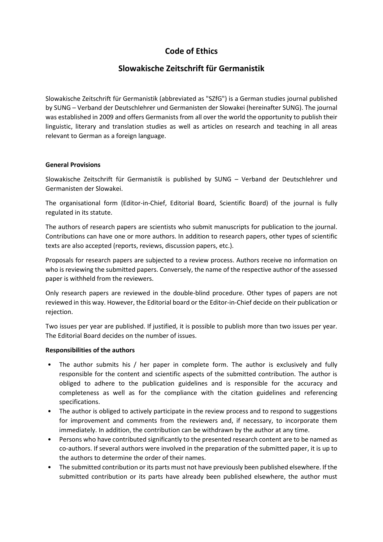# **Code of Ethics**

# **Slowakische Zeitschrift für Germanistik**

Slowakische Zeitschrift für Germanistik (abbreviated as "SZfG") is a German studies journal published by SUNG – Verband der Deutschlehrer und Germanisten der Slowakei (hereinafter SUNG). The journal was established in 2009 and offers Germanists from all over the world the opportunity to publish their linguistic, literary and translation studies as well as articles on research and teaching in all areas relevant to German as a foreign language.

#### **General Provisions**

Slowakische Zeitschrift für Germanistik is published by SUNG – Verband der Deutschlehrer und Germanisten der Slowakei.

The organisational form (Editor-in-Chief, Editorial Board, Scientific Board) of the journal is fully regulated in its statute.

The authors of research papers are scientists who submit manuscripts for publication to the journal. Contributions can have one or more authors. In addition to research papers, other types of scientific texts are also accepted (reports, reviews, discussion papers, etc.).

Proposals for research papers are subjected to a review process. Authors receive no information on who is reviewing the submitted papers. Conversely, the name of the respective author of the assessed paper is withheld from the reviewers.

Only research papers are reviewed in the double-blind procedure. Other types of papers are not reviewed in this way. However, the Editorial board or the Editor-in-Chief decide on their publication or rejection.

Two issues per year are published. If justified, it is possible to publish more than two issues per year. The Editorial Board decides on the number of issues.

## **Responsibilities of the authors**

- The author submits his / her paper in complete form. The author is exclusively and fully responsible for the content and scientific aspects of the submitted contribution. The author is obliged to adhere to the publication guidelines and is responsible for the accuracy and completeness as well as for the compliance with the citation guidelines and referencing specifications.
- The author is obliged to actively participate in the review process and to respond to suggestions for improvement and comments from the reviewers and, if necessary, to incorporate them immediately. In addition, the contribution can be withdrawn by the author at any time.
- Persons who have contributed significantly to the presented research content are to be named as co-authors. If several authors were involved in the preparation of the submitted paper, it is up to the authors to determine the order of their names.
- The submitted contribution or its parts must not have previously been published elsewhere. If the submitted contribution or its parts have already been published elsewhere, the author must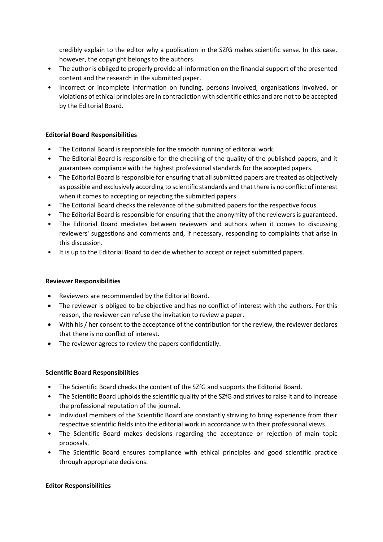credibly explain to the editor why a publication in the SZfG makes scientific sense. In this case, however, the copyright belongs to the authors.

- The author is obliged to properly provide all information on the financial support of the presented content and the research in the submitted paper.
- Incorrect or incomplete information on funding, persons involved, organisations involved, or violations of ethical principles are in contradiction with scientific ethics and are not to be accepted by the Editorial Board.

## **Editorial Board Responsibilities**

- The Editorial Board is responsible for the smooth running of editorial work.
- The Editorial Board is responsible for the checking of the quality of the published papers, and it guarantees compliance with the highest professional standards for the accepted papers.
- The Editorial Board is responsible for ensuring that all submitted papers are treated as objectively as possible and exclusively according to scientific standards and that there is no conflict of interest when it comes to accepting or rejecting the submitted papers.
- The Editorial Board checks the relevance of the submitted papers for the respective focus.
- The Editorial Board is responsible for ensuring that the anonymity of the reviewers is guaranteed.
- The Editorial Board mediates between reviewers and authors when it comes to discussing reviewers' suggestions and comments and, if necessary, responding to complaints that arise in this discussion.
- It is up to the Editorial Board to decide whether to accept or reject submitted papers.

## **Reviewer Responsibilities**

- Reviewers are recommended by the Editorial Board.
- The reviewer is obliged to be objective and has no conflict of interest with the authors. For this reason, the reviewer can refuse the invitation to review a paper.
- With his / her consent to the acceptance of the contribution for the review, the reviewer declares that there is no conflict of interest.
- The reviewer agrees to review the papers confidentially.

## **Scientific Board Responsibilities**

- The Scientific Board checks the content of the SZfG and supports the Editorial Board.
- The Scientific Board upholds the scientific quality of the SZfG and strives to raise it and to increase the professional reputation of the journal.
- Individual members of the Scientific Board are constantly striving to bring experience from their respective scientific fields into the editorial work in accordance with their professional views.
- The Scientific Board makes decisions regarding the acceptance or rejection of main topic proposals.
- The Scientific Board ensures compliance with ethical principles and good scientific practice through appropriate decisions.

## **Editor Responsibilities**